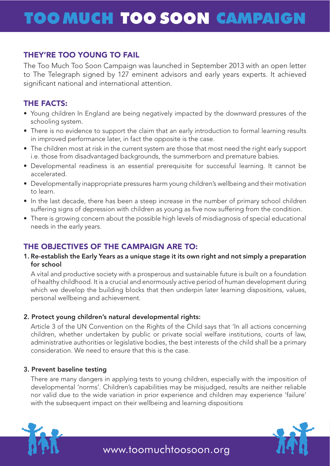## **TOO MUCH TOO SOON CAMPAIGN**

# **They're too young to fail** THEY'RE TOO YOUNG TO FAIL

The Too Much Too Soon Campaign was launched in September 2013 with an open letter to The Telegraph signed by 127 eminent advisors and early years experts. It achieved significant national and international attention.

### THE FACTS:

- Young children In England are being negatively impacted by the downward pressures of the schooling system.
- There is no evidence to support the claim that an early introduction to formal learning results in improved performance later, in fact the opposite is the case.
- The children most at risk in the current system are those that most need the right early support i.e. those from disadvantaged backgrounds, the summerborn and premature babies.
- Developmental readiness is an essential prerequisite for successful learning. It cannot be accelerated.
- Developmentally inappropriate pressures harm young children's wellbeing and their motivation to learn.
- In the last decade, there has been a steep increase in the number of primary school children suffering signs of depression with children as young as five now suffering from the condition.
- There is growing concern about the possible high levels of misdiagnosis of special educational needs in the early years.

### THE OBJECTIVES OF THE CAMPAIGN ARE TO:

#### 1. Re-establish the Early Years as a unique stage it its own right and not simply a preparation for school

A vital and productive society with a prosperous and sustainable future is built on a foundation of healthy childhood. It is a crucial and enormously active period of human development during which we develop the building blocks that then underpin later learning dispositions, values, personal wellbeing and achievement.

### 2. Protect young children's natural developmental rights:

Article 3 of the UN Convention on the Rights of the Child says that 'In all actions concerning children, whether undertaken by public or private social welfare institutions, courts of law, administrative authorities or legislative bodies, the best interests of the child shall be a primary consideration. We need to ensure that this is the case.

### 3. Prevent baseline testing

The value to the wide variation in prior experience and children may experience failure<br>with the subsequent impact on their wellbeing and learning dispositions There are many dangers in applying tests to young children, especially with the imposition of developmental 'norms'. Children's capabilities may be misjudged, results are neither reliable nor valid due to the wide variation in prior experience and children may experience 'failure' with the subsequent impact on their wellbeing and learning dispositions